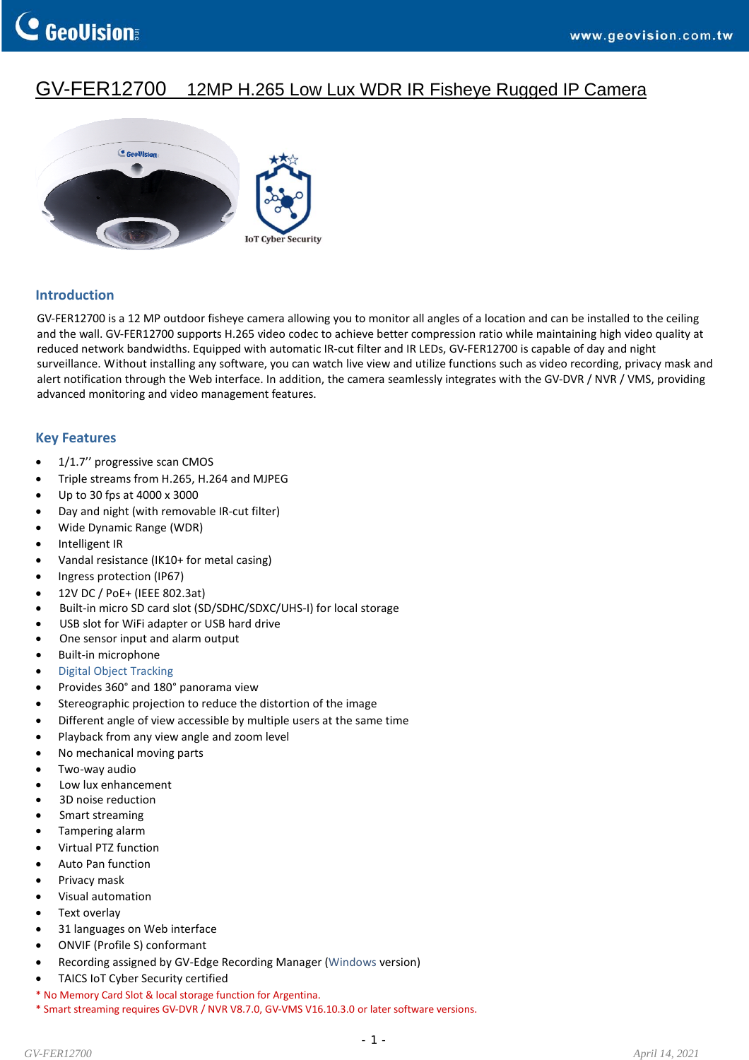# GV-FER12700 12MP H.265 Low Lux WDR IR Fisheye Rugged IP Camera



### **Introduction**

GV-FER12700 is a 12 MP outdoor fisheye camera allowing you to monitor all angles of a location and can be installed to the ceiling and the wall. GV‐FER12700 supports H.265 video codec to achieve better compression ratio while maintaining high video quality at reduced network bandwidths. Equipped with automatic IR‐cut filter and IR LEDs, GV‐FER12700 is capable of day and night surveillance. Without installing any software, you can watch live view and utilize functions such as video recording, privacy mask and alert notification through the Web interface. In addition, the camera seamlessly integrates with the GV-DVR / NVR / VMS, providing advanced monitoring and video management features.

#### **Key Features**

- 1/1.7" progressive scan CMOS
- Triple streams from H.265, H.264 and MJPEG
- Up to 30 fps at 4000 x 3000
- Day and night (with removable IR‐cut filter)
- Wide Dynamic Range (WDR)
- Intelligent IR
- Vandal resistance (IK10+ for metal casing)
- Ingress protection (IP67)
- 12V DC / PoE+ (IEEE 802.3at)
- Built-in micro SD card slot (SD/SDHC/SDXC/UHS-I) for local storage
- USB slot for WiFi adapter or USB hard drive
- One sensor input and alarm output
- Built‐in microphone
- Digital Object [Tracking](https://www.youtube.com/watch?v=-653ggBhOHc)
- Provides 360° and 180° panorama view
- Stereographic projection to reduce the distortion of the image
- Different angle of view accessible by multiple users at the same time
- Playback from any view angle and zoom level
- No mechanical moving parts
- Two‐way audio
- Low lux enhancement
- 3D noise reduction
- Smart streaming
- Tampering alarm
- Virtual PTZ function
- Auto Pan function
- Privacy mask
- Visual automation
- Text overlay
- 31 languages on Web interface
- ONVIF (Profile S) conformant
- Recording assigned by GV‐Edge Recording Manager [\(Windows](http://www.geovision.com.tw/product/GV%E2%80%90Edge%20Recording%20Manager%20(Windows%20Version)) version)
- TAICS IoT Cyber Security certified
- \* No Memory Card Slot & local storage function for Argentina.
- \* Smart streaming requires GV‐DVR / NVR V8.7.0, GV‐VMS V16.10.3.0 or later software versions.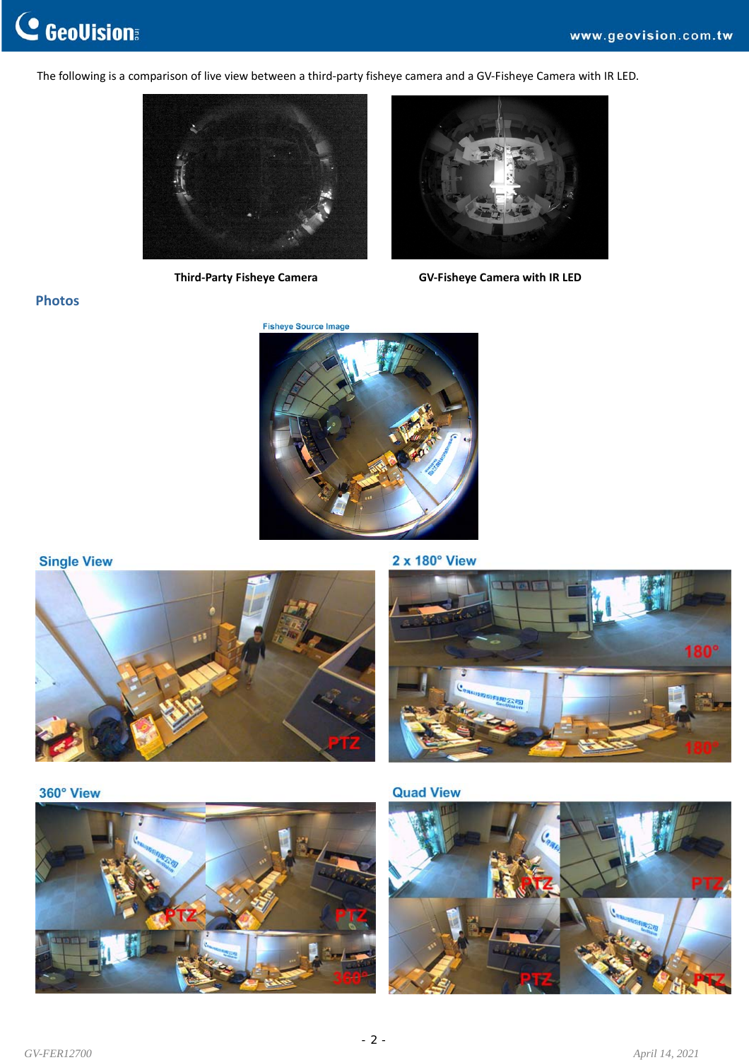The following is a comparison of live view between a third-party fisheye camera and a GV-Fisheye Camera with IR LED.





 **Third‐Party Fisheye Camera GV‐Fisheye Camera with IR LED**

# **Photos**



### **Single View**



 $2 \times 180^\circ$  View



360° View



**Quad View** 

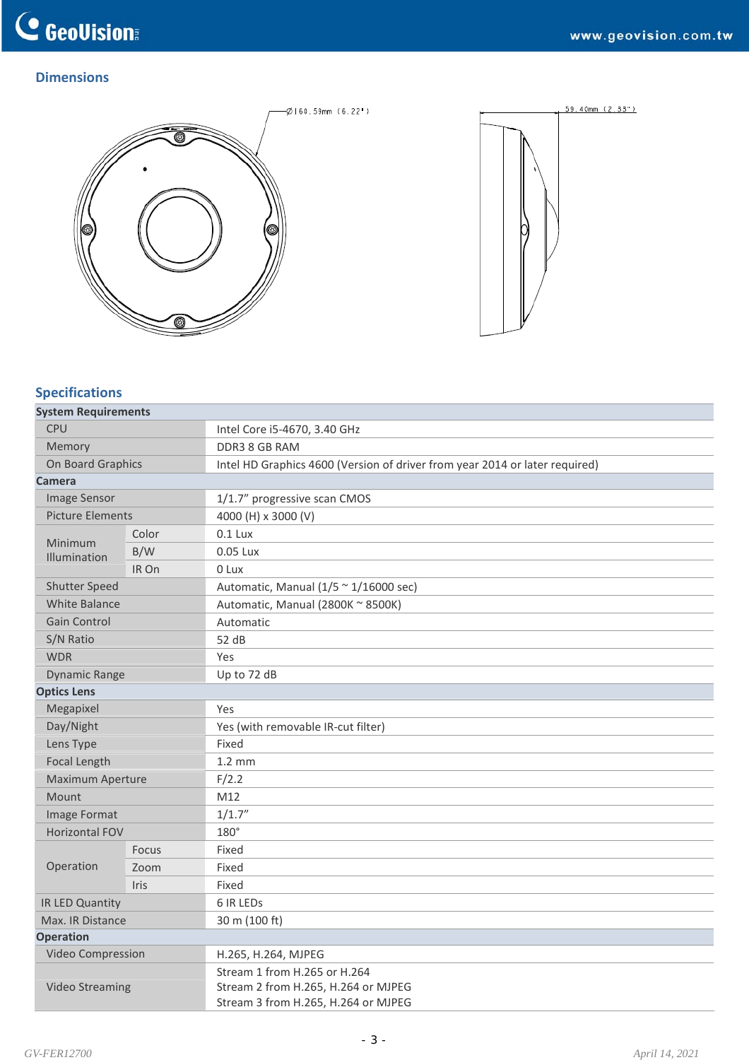# **C** GeoVision

# **Dimensions**





# **Specifications**

| <b>System Requirements</b> |       |                                                                                                            |  |
|----------------------------|-------|------------------------------------------------------------------------------------------------------------|--|
| CPU                        |       | Intel Core i5-4670, 3.40 GHz                                                                               |  |
| Memory                     |       | DDR3 8 GB RAM                                                                                              |  |
| On Board Graphics          |       | Intel HD Graphics 4600 (Version of driver from year 2014 or later required)                                |  |
| Camera                     |       |                                                                                                            |  |
| <b>Image Sensor</b>        |       | 1/1.7" progressive scan CMOS                                                                               |  |
| <b>Picture Elements</b>    |       | 4000 (H) x 3000 (V)                                                                                        |  |
| Minimum<br>Illumination    | Color | $0.1$ Lux                                                                                                  |  |
|                            | B/W   | 0.05 Lux                                                                                                   |  |
|                            | IR On | 0 Lux                                                                                                      |  |
| <b>Shutter Speed</b>       |       | Automatic, Manual $(1/5 \sim 1/16000 \text{ sec})$                                                         |  |
| <b>White Balance</b>       |       | Automatic, Manual (2800K ~ 8500K)                                                                          |  |
| <b>Gain Control</b>        |       | Automatic                                                                                                  |  |
| S/N Ratio                  |       | 52 dB                                                                                                      |  |
| <b>WDR</b>                 |       | Yes                                                                                                        |  |
| <b>Dynamic Range</b>       |       | Up to 72 dB                                                                                                |  |
| <b>Optics Lens</b>         |       |                                                                                                            |  |
| Megapixel                  |       | Yes                                                                                                        |  |
| Day/Night                  |       | Yes (with removable IR-cut filter)                                                                         |  |
| Lens Type                  |       | Fixed                                                                                                      |  |
| <b>Focal Length</b>        |       | $1.2 \text{ mm}$                                                                                           |  |
| Maximum Aperture           |       | F/2.2                                                                                                      |  |
| Mount                      |       | M12                                                                                                        |  |
| Image Format               |       | 1/1.7''                                                                                                    |  |
| <b>Horizontal FOV</b>      |       | $180^\circ$                                                                                                |  |
|                            | Focus | Fixed                                                                                                      |  |
| Operation                  | Zoom  | Fixed                                                                                                      |  |
|                            | Iris  | Fixed                                                                                                      |  |
| IR LED Quantity            |       | 6 IR LEDS                                                                                                  |  |
| Max. IR Distance           |       | 30 m (100 ft)                                                                                              |  |
| <b>Operation</b>           |       |                                                                                                            |  |
| Video Compression          |       | H.265, H.264, MJPEG                                                                                        |  |
| <b>Video Streaming</b>     |       | Stream 1 from H.265 or H.264<br>Stream 2 from H.265, H.264 or MJPEG<br>Stream 3 from H.265, H.264 or MJPEG |  |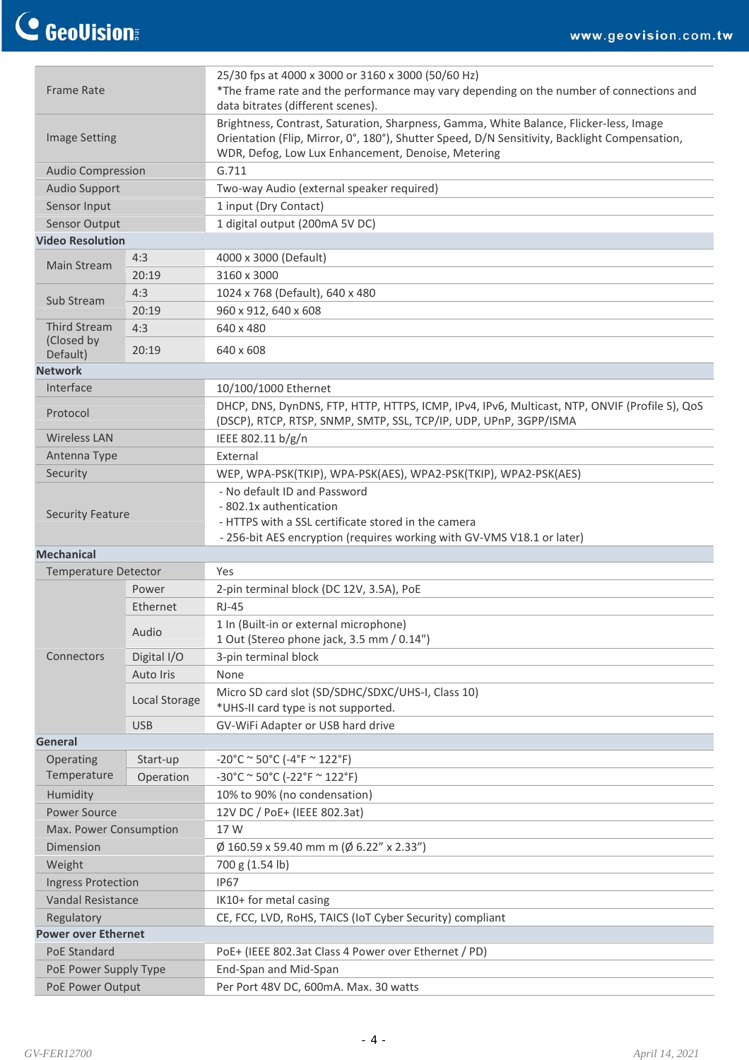| <b>Frame Rate</b>                        |               | 25/30 fps at 4000 x 3000 or 3160 x 3000 (50/60 Hz)<br>*The frame rate and the performance may vary depending on the number of connections and                                                                                                 |  |  |
|------------------------------------------|---------------|-----------------------------------------------------------------------------------------------------------------------------------------------------------------------------------------------------------------------------------------------|--|--|
|                                          |               | data bitrates (different scenes).                                                                                                                                                                                                             |  |  |
| <b>Image Setting</b>                     |               | Brightness, Contrast, Saturation, Sharpness, Gamma, White Balance, Flicker-less, Image<br>Orientation (Flip, Mirror, 0°, 180°), Shutter Speed, D/N Sensitivity, Backlight Compensation,<br>WDR, Defog, Low Lux Enhancement, Denoise, Metering |  |  |
| <b>Audio Compression</b>                 |               | G.711                                                                                                                                                                                                                                         |  |  |
| <b>Audio Support</b>                     |               | Two-way Audio (external speaker required)                                                                                                                                                                                                     |  |  |
| Sensor Input                             |               | 1 input (Dry Contact)                                                                                                                                                                                                                         |  |  |
| Sensor Output                            |               | 1 digital output (200mA 5V DC)                                                                                                                                                                                                                |  |  |
| <b>Video Resolution</b>                  |               |                                                                                                                                                                                                                                               |  |  |
| <b>Main Stream</b>                       | 4:3           | 4000 x 3000 (Default)                                                                                                                                                                                                                         |  |  |
|                                          | 20:19         | 3160 x 3000                                                                                                                                                                                                                                   |  |  |
| Sub Stream                               | 4:3           | 1024 x 768 (Default), 640 x 480                                                                                                                                                                                                               |  |  |
|                                          | 20:19         | 960 x 912, 640 x 608                                                                                                                                                                                                                          |  |  |
| <b>Third Stream</b>                      | 4:3           | 640 x 480                                                                                                                                                                                                                                     |  |  |
| (Closed by                               | 20:19         | 640 x 608                                                                                                                                                                                                                                     |  |  |
| Default)<br><b>Network</b>               |               |                                                                                                                                                                                                                                               |  |  |
| Interface                                |               |                                                                                                                                                                                                                                               |  |  |
|                                          |               | 10/100/1000 Ethernet                                                                                                                                                                                                                          |  |  |
| Protocol                                 |               | DHCP, DNS, DynDNS, FTP, HTTP, HTTPS, ICMP, IPv4, IPv6, Multicast, NTP, ONVIF (Profile S), QoS<br>(DSCP), RTCP, RTSP, SNMP, SMTP, SSL, TCP/IP, UDP, UPnP, 3GPP/ISMA                                                                            |  |  |
| <b>Wireless LAN</b>                      |               | IEEE 802.11 b/g/n                                                                                                                                                                                                                             |  |  |
| Antenna Type                             |               | External                                                                                                                                                                                                                                      |  |  |
| Security                                 |               | WEP, WPA-PSK(TKIP), WPA-PSK(AES), WPA2-PSK(TKIP), WPA2-PSK(AES)                                                                                                                                                                               |  |  |
|                                          |               | - No default ID and Password                                                                                                                                                                                                                  |  |  |
|                                          |               | - 802.1x authentication                                                                                                                                                                                                                       |  |  |
| <b>Security Feature</b>                  |               | - HTTPS with a SSL certificate stored in the camera                                                                                                                                                                                           |  |  |
|                                          |               | - 256-bit AES encryption (requires working with GV-VMS V18.1 or later)                                                                                                                                                                        |  |  |
| <b>Mechanical</b>                        |               |                                                                                                                                                                                                                                               |  |  |
| <b>Temperature Detector</b>              |               | Yes                                                                                                                                                                                                                                           |  |  |
|                                          | Power         | 2-pin terminal block (DC 12V, 3.5A), PoE                                                                                                                                                                                                      |  |  |
|                                          | Ethernet      | $RJ-45$                                                                                                                                                                                                                                       |  |  |
|                                          | Audio         | 1 In (Built-in or external microphone)                                                                                                                                                                                                        |  |  |
|                                          |               | 1 Out (Stereo phone jack, 3.5 mm / 0.14")                                                                                                                                                                                                     |  |  |
| Connectors                               | Digital I/O   | 3-pin terminal block                                                                                                                                                                                                                          |  |  |
|                                          | Auto Iris     | None                                                                                                                                                                                                                                          |  |  |
|                                          | Local Storage | Micro SD card slot (SD/SDHC/SDXC/UHS-I, Class 10)                                                                                                                                                                                             |  |  |
|                                          |               | *UHS-II card type is not supported.                                                                                                                                                                                                           |  |  |
|                                          | <b>USB</b>    | GV-WiFi Adapter or USB hard drive                                                                                                                                                                                                             |  |  |
| General                                  |               |                                                                                                                                                                                                                                               |  |  |
| Operating<br>Temperature                 | Start-up      | $-20^{\circ}$ C ~ 50°C (-4°F ~ 122°F)                                                                                                                                                                                                         |  |  |
|                                          | Operation     | $-30^{\circ}$ C ~ 50°C (-22°F ~ 122°F)                                                                                                                                                                                                        |  |  |
| Humidity                                 |               | 10% to 90% (no condensation)                                                                                                                                                                                                                  |  |  |
| <b>Power Source</b>                      |               | 12V DC / PoE+ (IEEE 802.3at)                                                                                                                                                                                                                  |  |  |
| Max. Power Consumption                   |               | 17 W                                                                                                                                                                                                                                          |  |  |
| <b>Dimension</b>                         |               | $\varnothing$ 160.59 x 59.40 mm m ( $\varnothing$ 6.22" x 2.33")                                                                                                                                                                              |  |  |
| Weight                                   |               | 700 g (1.54 lb)                                                                                                                                                                                                                               |  |  |
| <b>Ingress Protection</b>                |               | <b>IP67</b>                                                                                                                                                                                                                                   |  |  |
| <b>Vandal Resistance</b>                 |               | IK10+ for metal casing                                                                                                                                                                                                                        |  |  |
| Regulatory<br><b>Power over Ethernet</b> |               | CE, FCC, LVD, RoHS, TAICS (IoT Cyber Security) compliant                                                                                                                                                                                      |  |  |
|                                          |               |                                                                                                                                                                                                                                               |  |  |
| PoE Standard                             |               | PoE+ (IEEE 802.3at Class 4 Power over Ethernet / PD)                                                                                                                                                                                          |  |  |
| PoE Power Supply Type                    |               | End-Span and Mid-Span<br>Per Port 48V DC, 600mA. Max. 30 watts                                                                                                                                                                                |  |  |
| PoE Power Output                         |               |                                                                                                                                                                                                                                               |  |  |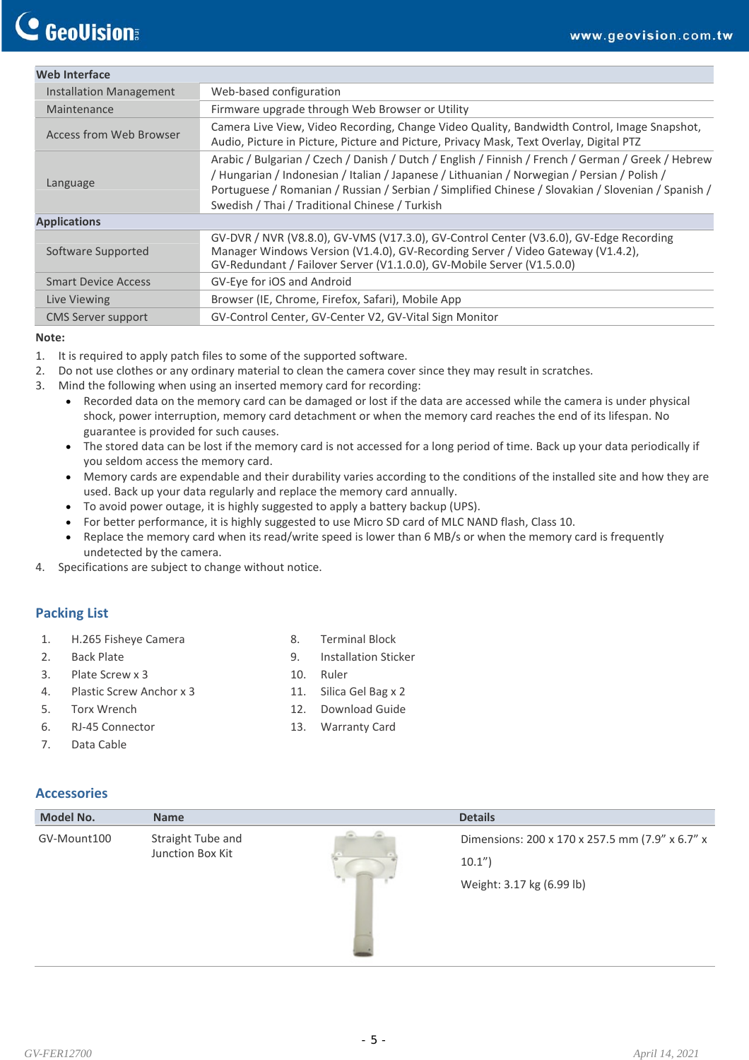# **C** GeoUision

| <b>Web Interface</b>                                                                                                                                                                                              |                                                                                                                                                                                                                                                                                                                                                           |
|-------------------------------------------------------------------------------------------------------------------------------------------------------------------------------------------------------------------|-----------------------------------------------------------------------------------------------------------------------------------------------------------------------------------------------------------------------------------------------------------------------------------------------------------------------------------------------------------|
| <b>Installation Management</b>                                                                                                                                                                                    | Web-based configuration                                                                                                                                                                                                                                                                                                                                   |
| Maintenance                                                                                                                                                                                                       | Firmware upgrade through Web Browser or Utility                                                                                                                                                                                                                                                                                                           |
| Camera Live View, Video Recording, Change Video Quality, Bandwidth Control, Image Snapshot,<br>Access from Web Browser<br>Audio, Picture in Picture, Picture and Picture, Privacy Mask, Text Overlay, Digital PTZ |                                                                                                                                                                                                                                                                                                                                                           |
| Language                                                                                                                                                                                                          | Arabic / Bulgarian / Czech / Danish / Dutch / English / Finnish / French / German / Greek / Hebrew<br>/ Hungarian / Indonesian / Italian / Japanese / Lithuanian / Norwegian / Persian / Polish /<br>Portuguese / Romanian / Russian / Serbian / Simplified Chinese / Slovakian / Slovenian / Spanish /<br>Swedish / Thai / Traditional Chinese / Turkish |
| <b>Applications</b>                                                                                                                                                                                               |                                                                                                                                                                                                                                                                                                                                                           |
| Software Supported                                                                                                                                                                                                | GV-DVR / NVR (V8.8.0), GV-VMS (V17.3.0), GV-Control Center (V3.6.0), GV-Edge Recording<br>Manager Windows Version (V1.4.0), GV-Recording Server / Video Gateway (V1.4.2),<br>GV-Redundant / Failover Server (V1.1.0.0), GV-Mobile Server (V1.5.0.0)                                                                                                       |
| <b>Smart Device Access</b>                                                                                                                                                                                        | GV-Eye for iOS and Android                                                                                                                                                                                                                                                                                                                                |
| Live Viewing                                                                                                                                                                                                      | Browser (IE, Chrome, Firefox, Safari), Mobile App                                                                                                                                                                                                                                                                                                         |
| <b>CMS Server support</b>                                                                                                                                                                                         | GV-Control Center, GV-Center V2, GV-Vital Sign Monitor                                                                                                                                                                                                                                                                                                    |

#### **N ote:**

- 1. It is required to apply patch files to some of the supported software.
- 2. Do not use clothes or any ordinary material to clean the camera cover since they may result in scratches.
- 3. Mind the following when using an inserted memory card for recording:
	- Recorded data on the memory card can be damaged or lost if the data are accessed while the camera is under physical shock, power interruption, memory card detachment or when the memory card reaches the end of its lifespan. No guarantee is provided for such causes.
	- The stored data can be lost if the memory card is not accessed for a long period of time. Back up your data periodically if you seldom access the memory card.
	- Memory cards are expendable and their durability varies according to the conditions of the installed site and how they are used. Back up your data regularly and replace the memory card annually.
	- To avoid power outage, it is highly suggested to apply a battery backup (UPS).
	- For better performance, it is highly suggested to use Micro SD card of MLC NAND flash, Class 10.
	- Replace the memory card when its read/write speed is lower than 6 MB/s or when the memory card is frequently undetected by the camera.
- 4. Specifications are subject to change without notice.

# **acking List P**

- 1. H.265 Fisheye Camera
- 2. Back Plate
- 3. Plate Screw x 3
- 4. Plastic Screw Anchor x 3
- 5. Torx Wrench
- 6. RJ-45 Connector
- 7. Data Cable
- 8. Terminal Block
- 9. Installation Sticker
- 10. Ruler
- 11. Silica Gel Bag x 2
- 12. Download Guide
- 13. Warranty Card

#### Accessories

| <b>Model No.</b> | <b>Name</b>                           | <b>Details</b>                                                                        |
|------------------|---------------------------------------|---------------------------------------------------------------------------------------|
| GV-Mount100      | Straight Tube and<br>Junction Box Kit | Dimensions: 200 x 170 x 257.5 mm (7.9" x 6.7" x<br>10.1"<br>Weight: 3.17 kg (6.99 lb) |
|                  |                                       |                                                                                       |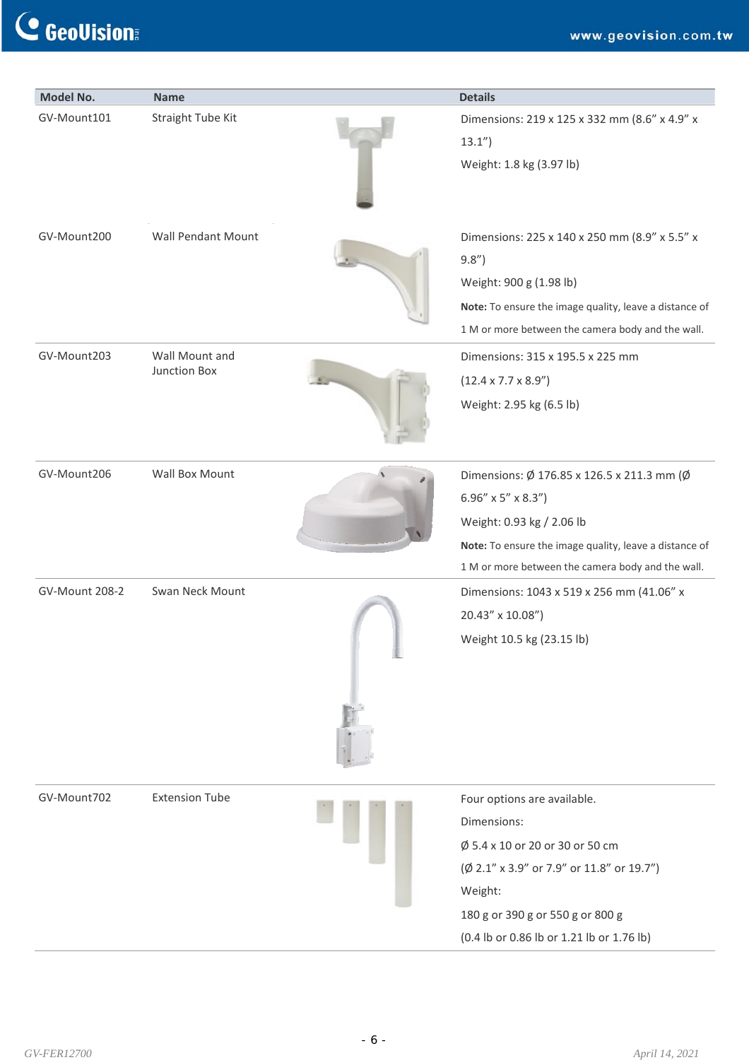# C GeoVision

| <b>Model No.</b>      | <b>Name</b>                    | <b>Details</b>                                                                                                                                                                                                             |
|-----------------------|--------------------------------|----------------------------------------------------------------------------------------------------------------------------------------------------------------------------------------------------------------------------|
| GV-Mount101           | Straight Tube Kit              | Dimensions: 219 x 125 x 332 mm (8.6" x 4.9" x<br>13.1"<br>Weight: 1.8 kg (3.97 lb)                                                                                                                                         |
| GV-Mount200           | <b>Wall Pendant Mount</b>      | Dimensions: 225 x 140 x 250 mm (8.9" x 5.5" x<br>9.8"<br>Weight: 900 g (1.98 lb)<br>Note: To ensure the image quality, leave a distance of<br>1 M or more between the camera body and the wall.                            |
| GV-Mount203           | Wall Mount and<br>Junction Box | Dimensions: 315 x 195.5 x 225 mm<br>$(12.4 \times 7.7 \times 8.9'')$<br>Weight: 2.95 kg (6.5 lb)                                                                                                                           |
| GV-Mount206           | Wall Box Mount                 | Dimensions: Ø 176.85 x 126.5 x 211.3 mm (Ø<br>6.96" $\times$ 5" $\times$ 8.3")<br>Weight: 0.93 kg / 2.06 lb<br>Note: To ensure the image quality, leave a distance of<br>1 M or more between the camera body and the wall. |
| <b>GV-Mount 208-2</b> | Swan Neck Mount                | Dimensions: 1043 x 519 x 256 mm (41.06" x<br>20.43" x 10.08")<br>Weight 10.5 kg (23.15 lb)                                                                                                                                 |
| GV-Mount702           | <b>Extension Tube</b>          | Four options are available.<br>Dimensions:<br>Ø 5.4 x 10 or 20 or 30 or 50 cm<br>(Ø 2.1" x 3.9" or 7.9" or 11.8" or 19.7")<br>Weight:<br>180 g or 390 g or 550 g or 800 g<br>(0.4 lb or 0.86 lb or 1.21 lb or 1.76 lb)     |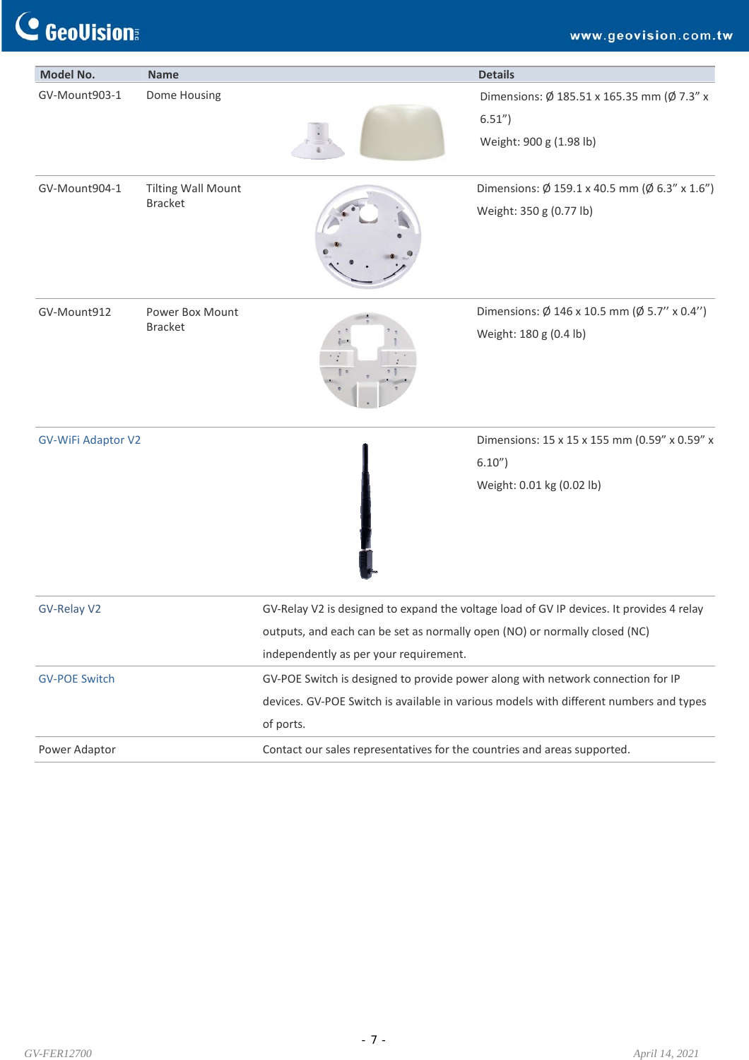C GeoVision

| Model No.                 | <b>Name</b>               |                                                                                 | <b>Details</b>                                                                           |
|---------------------------|---------------------------|---------------------------------------------------------------------------------|------------------------------------------------------------------------------------------|
| GV-Mount903-1             | Dome Housing              |                                                                                 | Dimensions: Ø 185.51 x 165.35 mm (Ø 7.3" x                                               |
|                           |                           |                                                                                 | $6.51'$ )                                                                                |
|                           |                           |                                                                                 | Weight: 900 g (1.98 lb)                                                                  |
| GV-Mount904-1             | <b>Tilting Wall Mount</b> |                                                                                 | Dimensions: $\emptyset$ 159.1 x 40.5 mm ( $\emptyset$ 6.3" x 1.6")                       |
|                           | <b>Bracket</b>            |                                                                                 | Weight: 350 g (0.77 lb)                                                                  |
| GV-Mount912               | Power Box Mount           |                                                                                 | Dimensions: $\emptyset$ 146 x 10.5 mm ( $\emptyset$ 5.7" x 0.4")                         |
|                           | <b>Bracket</b>            |                                                                                 | Weight: 180 g (0.4 lb)                                                                   |
| <b>GV-WiFi Adaptor V2</b> |                           |                                                                                 | Dimensions: 15 x 15 x 155 mm (0.59" x 0.59" x                                            |
|                           |                           |                                                                                 | 6.10"                                                                                    |
|                           |                           |                                                                                 | Weight: 0.01 kg (0.02 lb)                                                                |
| GV-Relay V2               |                           |                                                                                 | GV-Relay V2 is designed to expand the voltage load of GV IP devices. It provides 4 relay |
|                           |                           | outputs, and each can be set as normally open (NO) or normally closed (NC)      |                                                                                          |
|                           |                           | independently as per your requirement.                                          |                                                                                          |
| <b>GV-POE Switch</b>      |                           | GV-POE Switch is designed to provide power along with network connection for IP |                                                                                          |
|                           |                           |                                                                                 | devices. GV-POE Switch is available in various models with different numbers and types   |
|                           |                           | of ports.                                                                       |                                                                                          |
| Power Adaptor             |                           | Contact our sales representatives for the countries and areas supported.        |                                                                                          |